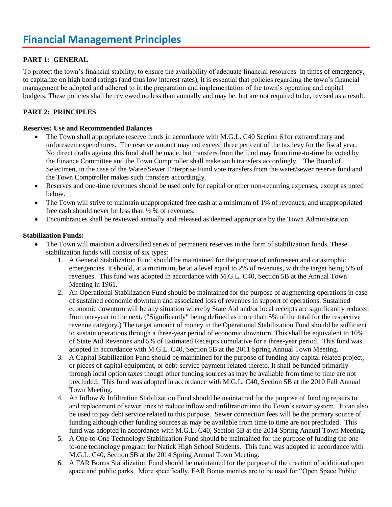# **PART 1: GENERAL**

To protect the town's financial stability, to ensure the availability of adequate financial resources in times of emergency, to capitalize on high bond ratings (and thus low interest rates), it is essential that policies regarding the town's financial management be adopted and adhered to in the preparation and implementation of the town's operating and capital budgets. These policies shall be reviewed no less than annually and may be, but are not required to be, revised as a result.

### **PART 2: PRINCIPLES**

#### **Reserves: Use and Recommended Balances**

- The Town shall appropriate reserve funds in accordance with M.G.L. C40 Section 6 for extraordinary and unforeseen expenditures. The reserve amount may not exceed three per cent of the tax levy for the fiscal year. No direct drafts against this fund shall be made, but transfers from the fund may from time-to-time be voted by the Finance Committee and the Town Comptroller shall make such transfers accordingly. The Board of Selectmen, in the case of the Water/Sewer Enterprise Fund vote transfers from the water/sewer reserve fund and the Town Comptroller makes such transfers accordingly.
- Reserves and one-time revenues should be used only for capital or other non-recurring expenses, except as noted below.
- The Town will strive to maintain unappropriated free cash at a minimum of 1% of revenues, and unappropriated free cash should never be less than ½ % of revenues.
- Encumbrances shall be reviewed annually and released as deemed appropriate by the Town Administration.

#### **Stabilization Funds:**

- The Town will maintain a diversified series of permanent reserves in the form of stabilization funds. These stabilization funds will consist of six types:
	- 1. A General Stabilization Fund should be maintained for the purpose of unforeseen and catastrophic emergencies. It should, at a minimum, be at a level equal to 2% of revenues, with the target being 5% of revenues. This fund was adopted in accordance with M.G.L. C40, Section 5B at the Annual Town Meeting in 1961.
	- 2. An Operational Stabilization Fund should be maintained for the purpose of augmenting operations in case of sustained economic downturn and associated loss of revenues in support of operations. Sustained economic downturn will be any situation whereby State Aid and/or local receipts are significantly reduced from one-year to the next. ("Significantly" being defined as more than 5% of the total for the respective revenue category.) The target amount of money in the Operational Stabilization Fund should be sufficient to sustain operations through a three-year period of economic downturn. This shall be equivalent to 10% of State Aid Revenues and 5% of Estimated Receipts cumulative for a three-year period. This fund was adopted in accordance with M.G.L. C40, Section 5B at the 2011 Spring Annual Town Meeting.
	- 3. A Capital Stabilization Fund should be maintained for the purpose of funding any capital related project, or pieces of capital equipment, or debt‐service payment related thereto. It shall be funded primarily through local option taxes though other funding sources as may be available from time to time are not precluded. This fund was adopted in accordance with M.G.L. C40, Section 5B at the 2010 Fall Annual Town Meeting.
	- 4. An Inflow & Infiltration Stabilization Fund should be maintained for the purpose of funding repairs to and replacement of sewer lines to reduce inflow and infiltration into the Town's sewer system. It can also be used to pay debt service related to this purpose. Sewer connection fees will be the primary source of funding although other funding sources as may be available from time to time are not precluded. This fund was adopted in accordance with M.G.L. C40, Section 5B at the 2014 Spring Annual Town Meeting.
	- 5. A One-to-One Technology Stabilization Fund should be maintained for the purpose of funding the oneto-one technology program for Natick High School Students. This fund was adopted in accordance with M.G.L. C40, Section 5B at the 2014 Spring Annual Town Meeting.
	- 6. A FAR Bonus Stabilization Fund should be maintained for the purpose of the creation of additional open space and public parks. More specifically, FAR Bonus monies are to be used for "Open Space Public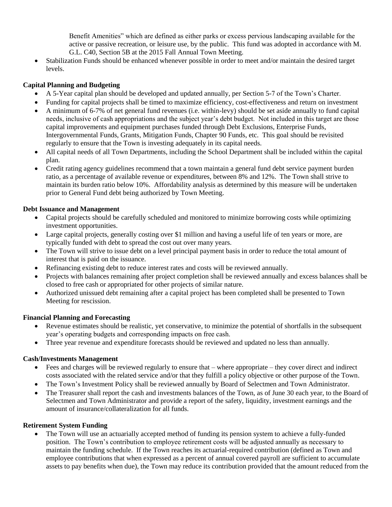Benefit Amenities" which are defined as either parks or excess pervious landscaping available for the active or passive recreation, or leisure use, by the public. This fund was adopted in accordance with M. G.L. C40, Section 5B at the 2015 Fall Annual Town Meeting.

 Stabilization Funds should be enhanced whenever possible in order to meet and/or maintain the desired target levels.

## **Capital Planning and Budgeting**

- A 5-Year capital plan should be developed and updated annually, per Section 5-7 of the Town's Charter.
- Funding for capital projects shall be timed to maximize efficiency, cost-effectiveness and return on investment
- A minimum of 6-7% of net general fund revenues (i.e. within-levy) should be set aside annually to fund capital needs, inclusive of cash appropriations and the subject year's debt budget. Not included in this target are those capital improvements and equipment purchases funded through Debt Exclusions, Enterprise Funds, Intergovernmental Funds, Grants, Mitigation Funds, Chapter 90 Funds, etc. This goal should be revisited regularly to ensure that the Town is investing adequately in its capital needs.
- All capital needs of all Town Departments, including the School Department shall be included within the capital plan.
- Credit rating agency guidelines recommend that a town maintain a general fund debt service payment burden ratio, as a percentage of available revenue or expenditures, between 8% and 12%. The Town shall strive to maintain its burden ratio below 10%. Affordability analysis as determined by this measure will be undertaken prior to General Fund debt being authorized by Town Meeting.

### **Debt Issuance and Management**

- Capital projects should be carefully scheduled and monitored to minimize borrowing costs while optimizing investment opportunities.
- Large capital projects, generally costing over \$1 million and having a useful life of ten years or more, are typically funded with debt to spread the cost out over many years.
- The Town will strive to issue debt on a level principal payment basis in order to reduce the total amount of interest that is paid on the issuance.
- Refinancing existing debt to reduce interest rates and costs will be reviewed annually.
- Projects with balances remaining after project completion shall be reviewed annually and excess balances shall be closed to free cash or appropriated for other projects of similar nature.
- Authorized unissued debt remaining after a capital project has been completed shall be presented to Town Meeting for rescission.

### **Financial Planning and Forecasting**

- Revenue estimates should be realistic, yet conservative, to minimize the potential of shortfalls in the subsequent year's operating budgets and corresponding impacts on free cash.
- Three year revenue and expenditure forecasts should be reviewed and updated no less than annually.

### **Cash/Investments Management**

- Fees and charges will be reviewed regularly to ensure that where appropriate they cover direct and indirect costs associated with the related service and/or that they fulfill a policy objective or other purpose of the Town.
- The Town's Investment Policy shall be reviewed annually by Board of Selectmen and Town Administrator.
- The Treasurer shall report the cash and investments balances of the Town, as of June 30 each year, to the Board of Selectmen and Town Administrator and provide a report of the safety, liquidity, investment earnings and the amount of insurance/collateralization for all funds.

#### **Retirement System Funding**

 The Town will use an actuarially accepted method of funding its pension system to achieve a fully-funded position. The Town's contribution to employee retirement costs will be adjusted annually as necessary to maintain the funding schedule. If the Town reaches its actuarial-required contribution (defined as Town and employee contributions that when expressed as a percent of annual covered payroll are sufficient to accumulate assets to pay benefits when due), the Town may reduce its contribution provided that the amount reduced from the